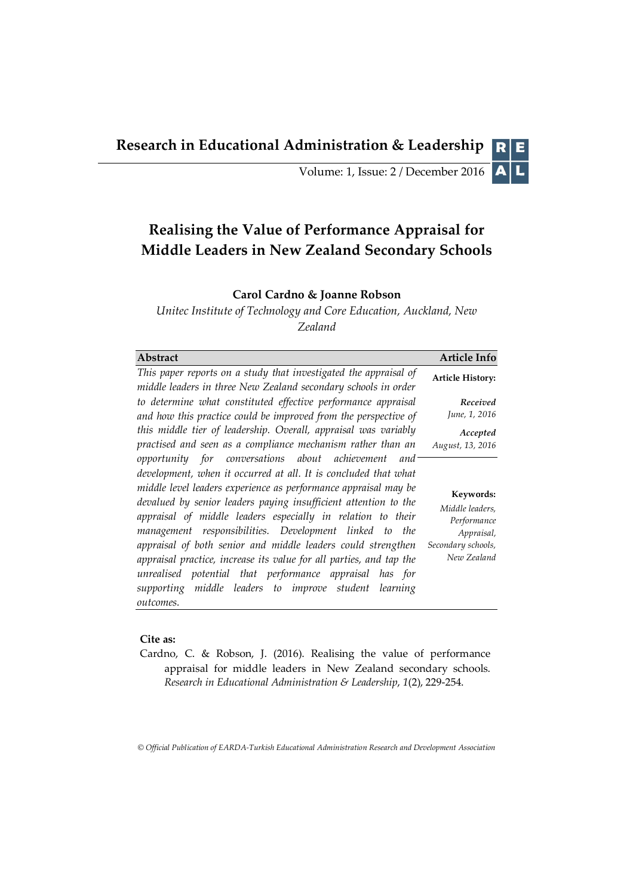**Research in Educational Administration & Leadership** R

> AL Volume: 1, Issue: 2 / December 2016

# **Realising the Value of Performance Appraisal for Middle Leaders in New Zealand Secondary Schools**

# **Carol Cardno & Joanne Robson**

*Unitec Institute of Technology and Core Education, Auckland, New Zealand*

| <b>Abstract</b>                                                                                                                                                                                                                                                                                                                                                                                                                                                                                                                                                                                                                                               | Article Info                                                                                   |
|---------------------------------------------------------------------------------------------------------------------------------------------------------------------------------------------------------------------------------------------------------------------------------------------------------------------------------------------------------------------------------------------------------------------------------------------------------------------------------------------------------------------------------------------------------------------------------------------------------------------------------------------------------------|------------------------------------------------------------------------------------------------|
| This paper reports on a study that investigated the appraisal of<br>middle leaders in three New Zealand secondary schools in order                                                                                                                                                                                                                                                                                                                                                                                                                                                                                                                            | <b>Article History:</b>                                                                        |
| to determine what constituted effective performance appraisal<br>and how this practice could be improved from the perspective of<br>this middle tier of leadership. Overall, appraisal was variably<br>practised and seen as a compliance mechanism rather than an                                                                                                                                                                                                                                                                                                                                                                                            | Received<br>June, 1, 2016<br>Accepted<br>August, 13, 2016                                      |
| opportunity for conversations about achievement and<br>development, when it occurred at all. It is concluded that what<br>middle level leaders experience as performance appraisal may be<br>devalued by senior leaders paying insufficient attention to the<br>appraisal of middle leaders especially in relation to their<br>management responsibilities. Development linked to the<br>appraisal of both senior and middle leaders could strengthen<br>appraisal practice, increase its value for all parties, and tap the<br>unrealised potential that performance appraisal has for<br>supporting middle leaders to improve student learning<br>outcomes. | Keywords:<br>Middle leaders,<br>Performance<br>Appraisal,<br>Secondary schools,<br>New Zealand |

# **Cite as:**

Cardno, C. & Robson, J. (2016). Realising the value of performance appraisal for middle leaders in New Zealand secondary schools. *Research in Educational Administration & Leadership*, *1*(2), 229-254.

*© Official Publication of EARDA-Turkish Educational Administration Research and Development Association*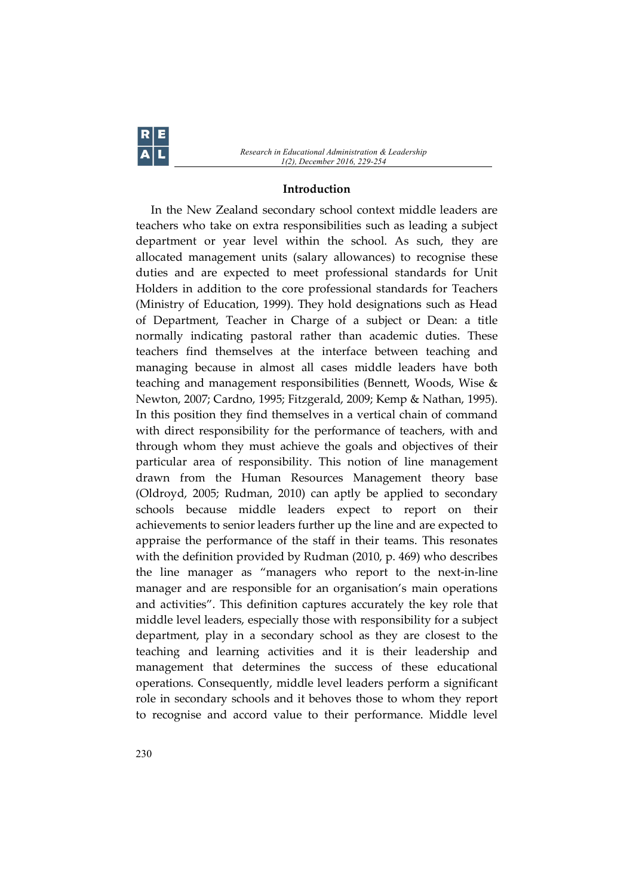*Research in Educational Administration & Leadership 1(2), December 2016, 229-254*

#### **Introduction**

In the New Zealand secondary school context middle leaders are teachers who take on extra responsibilities such as leading a subject department or year level within the school. As such, they are allocated management units (salary allowances) to recognise these duties and are expected to meet professional standards for Unit Holders in addition to the core professional standards for Teachers (Ministry of Education, 1999). They hold designations such as Head of Department, Teacher in Charge of a subject or Dean: a title normally indicating pastoral rather than academic duties. These teachers find themselves at the interface between teaching and managing because in almost all cases middle leaders have both teaching and management responsibilities (Bennett, Woods, Wise & Newton, 2007; Cardno, 1995; Fitzgerald, 2009; Kemp & Nathan, 1995). In this position they find themselves in a vertical chain of command with direct responsibility for the performance of teachers, with and through whom they must achieve the goals and objectives of their particular area of responsibility. This notion of line management drawn from the Human Resources Management theory base (Oldroyd, 2005; Rudman, 2010) can aptly be applied to secondary schools because middle leaders expect to report on their achievements to senior leaders further up the line and are expected to appraise the performance of the staff in their teams. This resonates with the definition provided by Rudman (2010, p. 469) who describes the line manager as "managers who report to the next-in-line manager and are responsible for an organisation's main operations and activities". This definition captures accurately the key role that middle level leaders, especially those with responsibility for a subject department, play in a secondary school as they are closest to the teaching and learning activities and it is their leadership and management that determines the success of these educational operations. Consequently, middle level leaders perform a significant role in secondary schools and it behoves those to whom they report to recognise and accord value to their performance. Middle level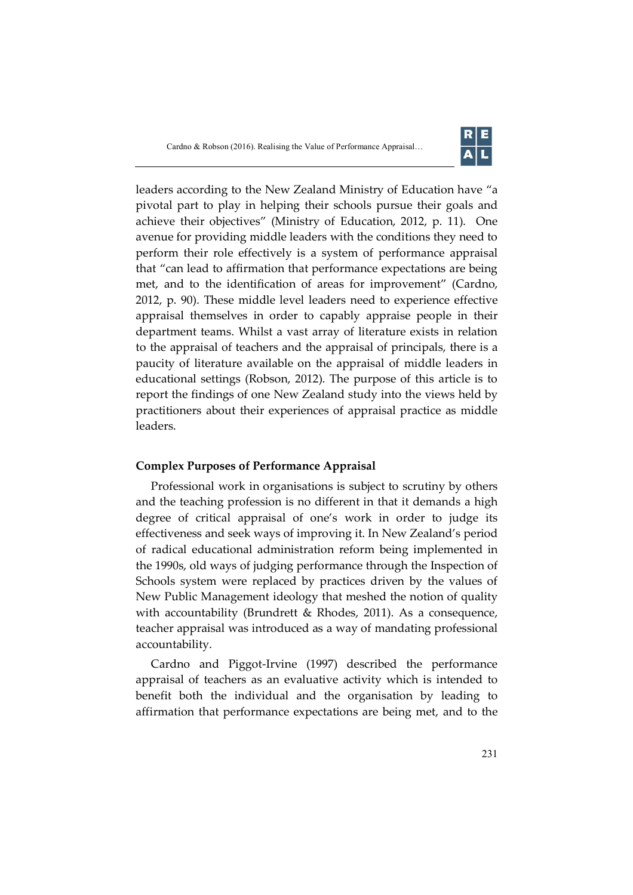

leaders according to the New Zealand Ministry of Education have "a pivotal part to play in helping their schools pursue their goals and achieve their objectives" (Ministry of Education, 2012, p. 11). One avenue for providing middle leaders with the conditions they need to perform their role effectively is a system of performance appraisal that "can lead to affirmation that performance expectations are being met, and to the identification of areas for improvement" (Cardno, 2012, p. 90). These middle level leaders need to experience effective appraisal themselves in order to capably appraise people in their department teams. Whilst a vast array of literature exists in relation to the appraisal of teachers and the appraisal of principals, there is a paucity of literature available on the appraisal of middle leaders in educational settings (Robson, 2012). The purpose of this article is to report the findings of one New Zealand study into the views held by practitioners about their experiences of appraisal practice as middle leaders.

# **Complex Purposes of Performance Appraisal**

Professional work in organisations is subject to scrutiny by others and the teaching profession is no different in that it demands a high degree of critical appraisal of one's work in order to judge its effectiveness and seek ways of improving it. In New Zealand's period of radical educational administration reform being implemented in the 1990s, old ways of judging performance through the Inspection of Schools system were replaced by practices driven by the values of New Public Management ideology that meshed the notion of quality with accountability (Brundrett & Rhodes, 2011). As a consequence, teacher appraisal was introduced as a way of mandating professional accountability.

Cardno and Piggot-Irvine (1997) described the performance appraisal of teachers as an evaluative activity which is intended to benefit both the individual and the organisation by leading to affirmation that performance expectations are being met, and to the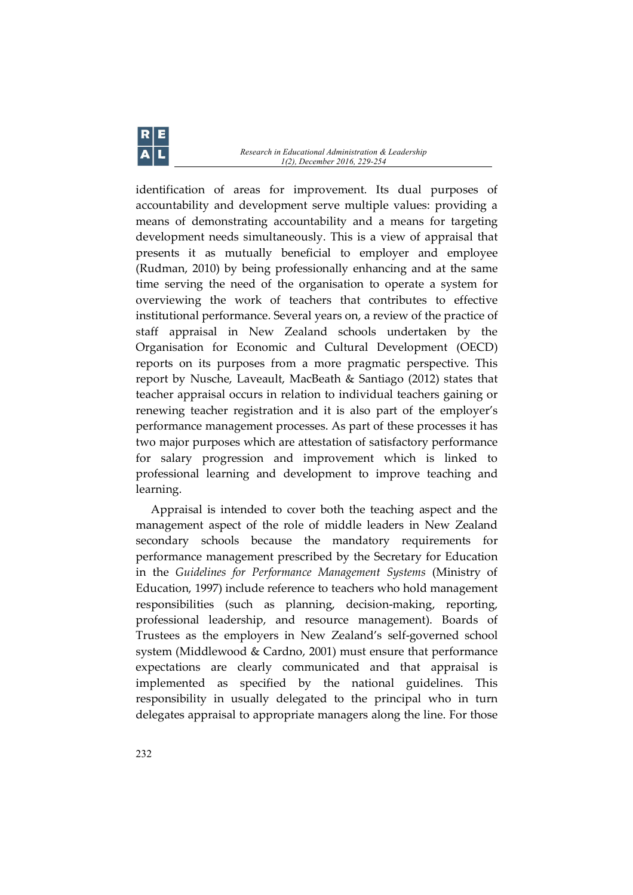identification of areas for improvement. Its dual purposes of accountability and development serve multiple values: providing a means of demonstrating accountability and a means for targeting development needs simultaneously. This is a view of appraisal that presents it as mutually beneficial to employer and employee (Rudman, 2010) by being professionally enhancing and at the same time serving the need of the organisation to operate a system for overviewing the work of teachers that contributes to effective institutional performance. Several years on, a review of the practice of staff appraisal in New Zealand schools undertaken by the Organisation for Economic and Cultural Development (OECD) reports on its purposes from a more pragmatic perspective. This report by Nusche, Laveault, MacBeath & Santiago (2012) states that teacher appraisal occurs in relation to individual teachers gaining or renewing teacher registration and it is also part of the employer's performance management processes. As part of these processes it has two major purposes which are attestation of satisfactory performance for salary progression and improvement which is linked to professional learning and development to improve teaching and learning.

Appraisal is intended to cover both the teaching aspect and the management aspect of the role of middle leaders in New Zealand secondary schools because the mandatory requirements for performance management prescribed by the Secretary for Education in the *Guidelines for Performance Management Systems* (Ministry of Education, 1997) include reference to teachers who hold management responsibilities (such as planning, decision-making, reporting, professional leadership, and resource management). Boards of Trustees as the employers in New Zealand's self-governed school system (Middlewood & Cardno, 2001) must ensure that performance expectations are clearly communicated and that appraisal is implemented as specified by the national guidelines. This responsibility in usually delegated to the principal who in turn delegates appraisal to appropriate managers along the line. For those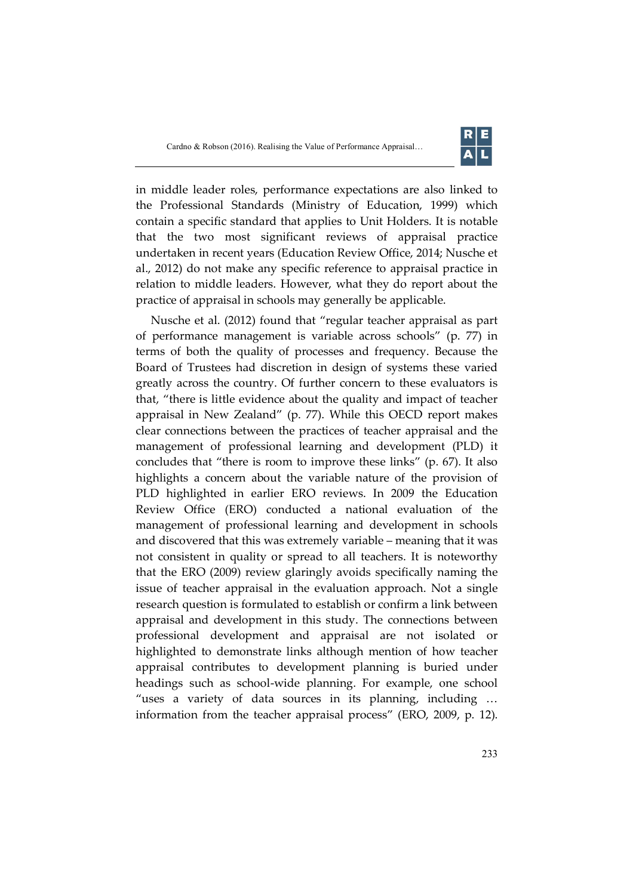

in middle leader roles, performance expectations are also linked to the Professional Standards (Ministry of Education, 1999) which contain a specific standard that applies to Unit Holders. It is notable that the two most significant reviews of appraisal practice undertaken in recent years (Education Review Office, 2014; Nusche et al., 2012) do not make any specific reference to appraisal practice in relation to middle leaders. However, what they do report about the practice of appraisal in schools may generally be applicable.

Nusche et al. (2012) found that "regular teacher appraisal as part of performance management is variable across schools" (p. 77) in terms of both the quality of processes and frequency. Because the Board of Trustees had discretion in design of systems these varied greatly across the country. Of further concern to these evaluators is that, "there is little evidence about the quality and impact of teacher appraisal in New Zealand" (p. 77). While this OECD report makes clear connections between the practices of teacher appraisal and the management of professional learning and development (PLD) it concludes that "there is room to improve these links" (p. 67). It also highlights a concern about the variable nature of the provision of PLD highlighted in earlier ERO reviews. In 2009 the Education Review Office (ERO) conducted a national evaluation of the management of professional learning and development in schools and discovered that this was extremely variable – meaning that it was not consistent in quality or spread to all teachers. It is noteworthy that the ERO (2009) review glaringly avoids specifically naming the issue of teacher appraisal in the evaluation approach. Not a single research question is formulated to establish or confirm a link between appraisal and development in this study. The connections between professional development and appraisal are not isolated or highlighted to demonstrate links although mention of how teacher appraisal contributes to development planning is buried under headings such as school-wide planning. For example, one school "uses a variety of data sources in its planning, including … information from the teacher appraisal process" (ERO, 2009, p. 12).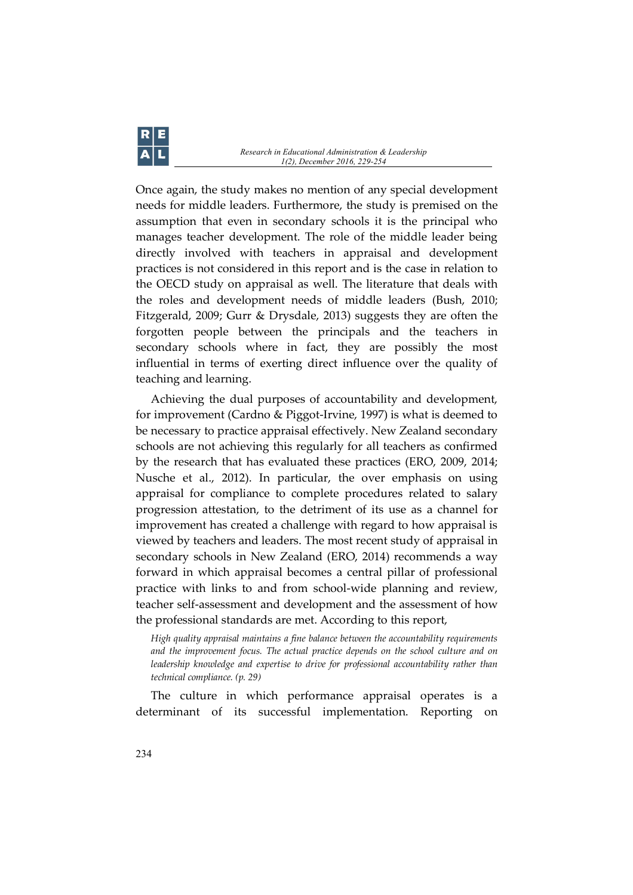Once again, the study makes no mention of any special development needs for middle leaders. Furthermore, the study is premised on the assumption that even in secondary schools it is the principal who manages teacher development. The role of the middle leader being directly involved with teachers in appraisal and development practices is not considered in this report and is the case in relation to the OECD study on appraisal as well. The literature that deals with the roles and development needs of middle leaders (Bush, 2010; Fitzgerald, 2009; Gurr & Drysdale, 2013) suggests they are often the forgotten people between the principals and the teachers in secondary schools where in fact, they are possibly the most influential in terms of exerting direct influence over the quality of teaching and learning.

Achieving the dual purposes of accountability and development, for improvement (Cardno & Piggot-Irvine, 1997) is what is deemed to be necessary to practice appraisal effectively. New Zealand secondary schools are not achieving this regularly for all teachers as confirmed by the research that has evaluated these practices (ERO, 2009, 2014; Nusche et al., 2012). In particular, the over emphasis on using appraisal for compliance to complete procedures related to salary progression attestation, to the detriment of its use as a channel for improvement has created a challenge with regard to how appraisal is viewed by teachers and leaders. The most recent study of appraisal in secondary schools in New Zealand (ERO, 2014) recommends a way forward in which appraisal becomes a central pillar of professional practice with links to and from school-wide planning and review, teacher self-assessment and development and the assessment of how the professional standards are met. According to this report,

*High quality appraisal maintains a fine balance between the accountability requirements and the improvement focus. The actual practice depends on the school culture and on leadership knowledge and expertise to drive for professional accountability rather than technical compliance. (p. 29)*

The culture in which performance appraisal operates is a determinant of its successful implementation. Reporting on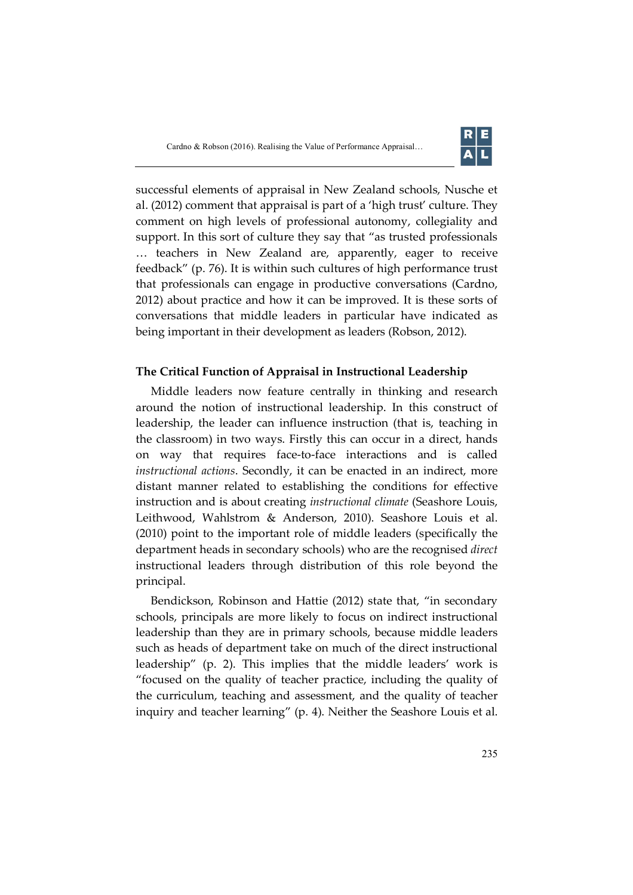

successful elements of appraisal in New Zealand schools, Nusche et al. (2012) comment that appraisal is part of a 'high trust' culture. They comment on high levels of professional autonomy, collegiality and support. In this sort of culture they say that "as trusted professionals … teachers in New Zealand are, apparently, eager to receive feedback" (p. 76). It is within such cultures of high performance trust that professionals can engage in productive conversations (Cardno, 2012) about practice and how it can be improved. It is these sorts of conversations that middle leaders in particular have indicated as being important in their development as leaders (Robson, 2012).

#### **The Critical Function of Appraisal in Instructional Leadership**

Middle leaders now feature centrally in thinking and research around the notion of instructional leadership. In this construct of leadership, the leader can influence instruction (that is, teaching in the classroom) in two ways. Firstly this can occur in a direct, hands on way that requires face-to-face interactions and is called *instructional actions*. Secondly, it can be enacted in an indirect, more distant manner related to establishing the conditions for effective instruction and is about creating *instructional climate* (Seashore Louis, Leithwood, Wahlstrom & Anderson, 2010). Seashore Louis et al. (2010) point to the important role of middle leaders (specifically the department heads in secondary schools) who are the recognised *direct* instructional leaders through distribution of this role beyond the principal.

Bendickson, Robinson and Hattie (2012) state that, "in secondary schools, principals are more likely to focus on indirect instructional leadership than they are in primary schools, because middle leaders such as heads of department take on much of the direct instructional leadership" (p. 2). This implies that the middle leaders' work is "focused on the quality of teacher practice, including the quality of the curriculum, teaching and assessment, and the quality of teacher inquiry and teacher learning" (p. 4). Neither the Seashore Louis et al.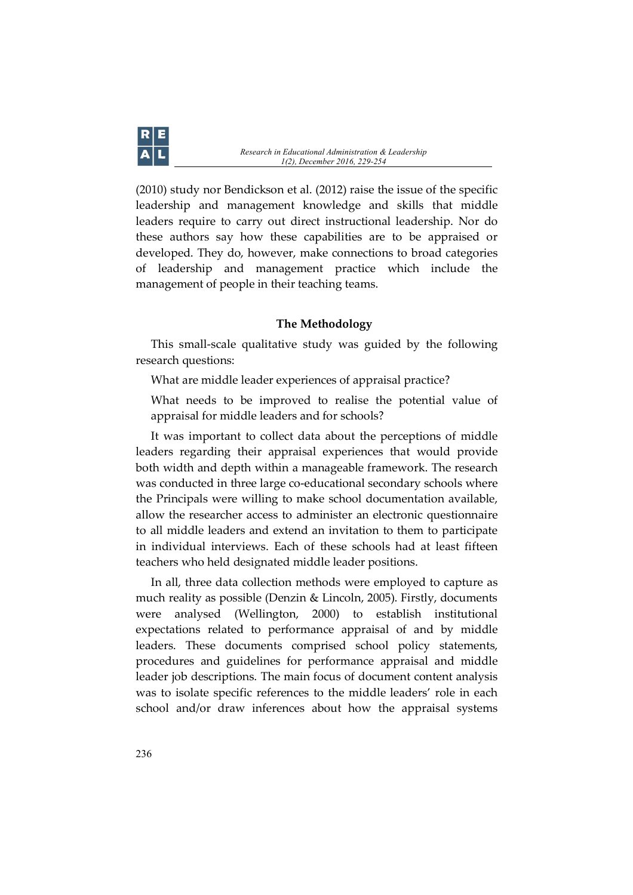

(2010) study nor Bendickson et al. (2012) raise the issue of the specific leadership and management knowledge and skills that middle leaders require to carry out direct instructional leadership. Nor do these authors say how these capabilities are to be appraised or developed. They do, however, make connections to broad categories of leadership and management practice which include the management of people in their teaching teams.

#### **The Methodology**

This small-scale qualitative study was guided by the following research questions:

What are middle leader experiences of appraisal practice?

What needs to be improved to realise the potential value of appraisal for middle leaders and for schools?

It was important to collect data about the perceptions of middle leaders regarding their appraisal experiences that would provide both width and depth within a manageable framework. The research was conducted in three large co-educational secondary schools where the Principals were willing to make school documentation available, allow the researcher access to administer an electronic questionnaire to all middle leaders and extend an invitation to them to participate in individual interviews. Each of these schools had at least fifteen teachers who held designated middle leader positions.

In all, three data collection methods were employed to capture as much reality as possible (Denzin & Lincoln, 2005). Firstly, documents were analysed (Wellington, 2000) to establish institutional expectations related to performance appraisal of and by middle leaders. These documents comprised school policy statements, procedures and guidelines for performance appraisal and middle leader job descriptions. The main focus of document content analysis was to isolate specific references to the middle leaders' role in each school and/or draw inferences about how the appraisal systems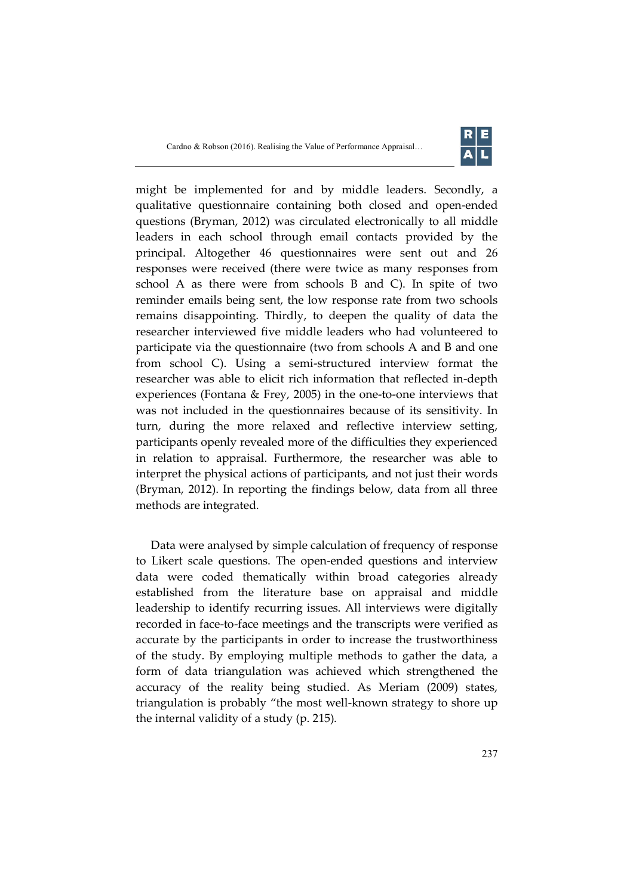

might be implemented for and by middle leaders. Secondly, a qualitative questionnaire containing both closed and open-ended questions (Bryman, 2012) was circulated electronically to all middle leaders in each school through email contacts provided by the principal. Altogether 46 questionnaires were sent out and 26 responses were received (there were twice as many responses from school A as there were from schools B and C). In spite of two reminder emails being sent, the low response rate from two schools remains disappointing. Thirdly, to deepen the quality of data the researcher interviewed five middle leaders who had volunteered to participate via the questionnaire (two from schools A and B and one from school C). Using a semi-structured interview format the researcher was able to elicit rich information that reflected in-depth experiences (Fontana & Frey, 2005) in the one-to-one interviews that was not included in the questionnaires because of its sensitivity. In turn, during the more relaxed and reflective interview setting, participants openly revealed more of the difficulties they experienced in relation to appraisal. Furthermore, the researcher was able to interpret the physical actions of participants, and not just their words (Bryman, 2012). In reporting the findings below, data from all three methods are integrated.

Data were analysed by simple calculation of frequency of response to Likert scale questions. The open-ended questions and interview data were coded thematically within broad categories already established from the literature base on appraisal and middle leadership to identify recurring issues. All interviews were digitally recorded in face-to-face meetings and the transcripts were verified as accurate by the participants in order to increase the trustworthiness of the study. By employing multiple methods to gather the data, a form of data triangulation was achieved which strengthened the accuracy of the reality being studied. As Meriam (2009) states, triangulation is probably "the most well-known strategy to shore up the internal validity of a study (p. 215).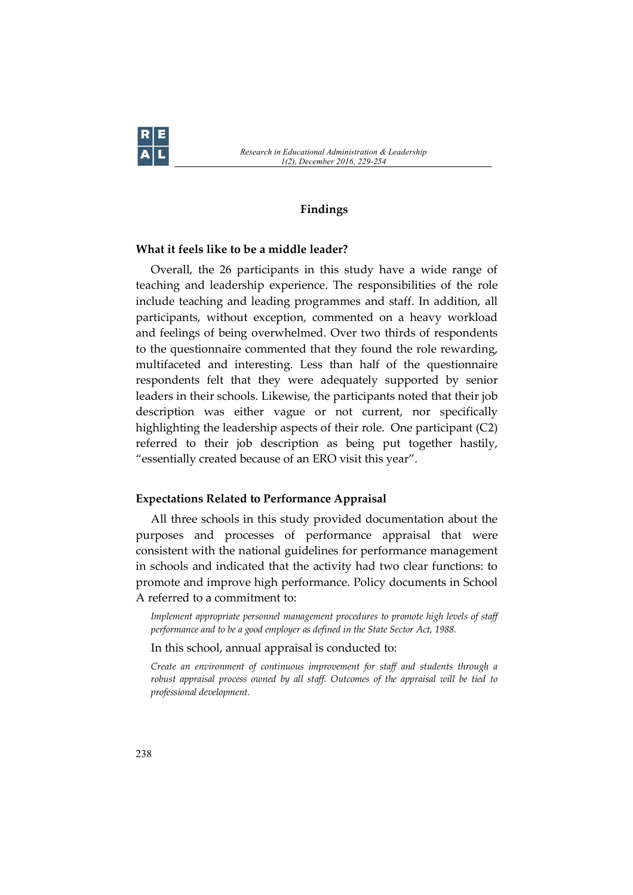

#### **Findings**

# **What it feels like to be a middle leader?**

Overall, the 26 participants in this study have a wide range of teaching and leadership experience. The responsibilities of the role include teaching and leading programmes and staff. In addition, all participants, without exception, commented on a heavy workload and feelings of being overwhelmed. Over two thirds of respondents to the questionnaire commented that they found the role rewarding, multifaceted and interesting. Less than half of the questionnaire respondents felt that they were adequately supported by senior leaders in their schools. Likewise, the participants noted that their job description was either vague or not current, nor specifically highlighting the leadership aspects of their role. One participant (C2) referred to their job description as being put together hastily, "essentially created because of an ERO visit this year".

#### **Expectations Related to Performance Appraisal**

All three schools in this study provided documentation about the purposes and processes of performance appraisal that were consistent with the national guidelines for performance management in schools and indicated that the activity had two clear functions: to promote and improve high performance. Policy documents in School A referred to a commitment to:

*Implement appropriate personnel management procedures to promote high levels of staff performance and to be a good employer as defined in the State Sector Act, 1988.*

In this school, annual appraisal is conducted to:

*Create an environment of continuous improvement for staff and students through a robust appraisal process owned by all staff. Outcomes of the appraisal will be tied to professional development.*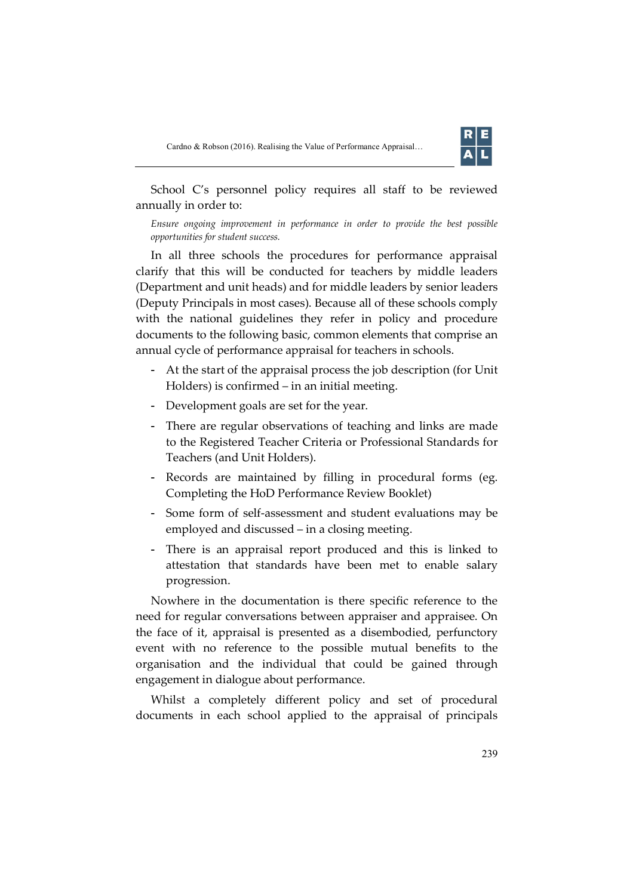

School C's personnel policy requires all staff to be reviewed annually in order to:

*Ensure ongoing improvement in performance in order to provide the best possible opportunities for student success.*

In all three schools the procedures for performance appraisal clarify that this will be conducted for teachers by middle leaders (Department and unit heads) and for middle leaders by senior leaders (Deputy Principals in most cases). Because all of these schools comply with the national guidelines they refer in policy and procedure documents to the following basic, common elements that comprise an annual cycle of performance appraisal for teachers in schools.

- At the start of the appraisal process the job description (for Unit Holders) is confirmed – in an initial meeting.
- Development goals are set for the year.
- There are regular observations of teaching and links are made to the Registered Teacher Criteria or Professional Standards for Teachers (and Unit Holders).
- Records are maintained by filling in procedural forms (eg. Completing the HoD Performance Review Booklet)
- Some form of self-assessment and student evaluations may be employed and discussed – in a closing meeting.
- There is an appraisal report produced and this is linked to attestation that standards have been met to enable salary progression.

Nowhere in the documentation is there specific reference to the need for regular conversations between appraiser and appraisee. On the face of it, appraisal is presented as a disembodied, perfunctory event with no reference to the possible mutual benefits to the organisation and the individual that could be gained through engagement in dialogue about performance.

Whilst a completely different policy and set of procedural documents in each school applied to the appraisal of principals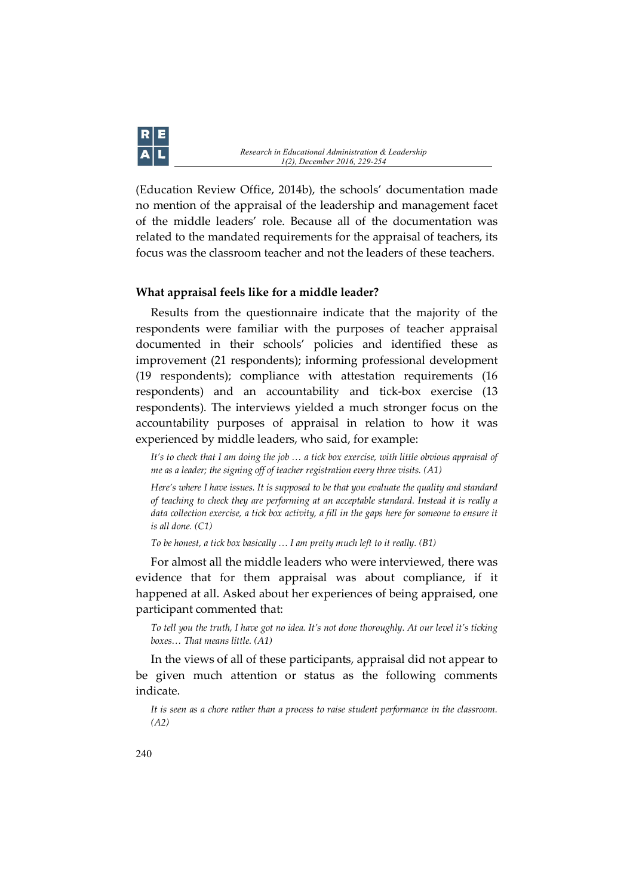

(Education Review Office, 2014b), the schools' documentation made no mention of the appraisal of the leadership and management facet of the middle leaders' role. Because all of the documentation was related to the mandated requirements for the appraisal of teachers, its focus was the classroom teacher and not the leaders of these teachers.

### **What appraisal feels like for a middle leader?**

Results from the questionnaire indicate that the majority of the respondents were familiar with the purposes of teacher appraisal documented in their schools' policies and identified these as improvement (21 respondents); informing professional development (19 respondents); compliance with attestation requirements (16 respondents) and an accountability and tick-box exercise (13 respondents). The interviews yielded a much stronger focus on the accountability purposes of appraisal in relation to how it was experienced by middle leaders, who said, for example:

*It's to check that I am doing the job … a tick box exercise, with little obvious appraisal of me as a leader; the signing off of teacher registration every three visits. (A1)*

*Here's where I have issues. It is supposed to be that you evaluate the quality and standard of teaching to check they are performing at an acceptable standard. Instead it is really a data collection exercise, a tick box activity, a fill in the gaps here for someone to ensure it is all done. (C1)*

*To be honest, a tick box basically … I am pretty much left to it really. (B1)*

For almost all the middle leaders who were interviewed, there was evidence that for them appraisal was about compliance, if it happened at all. Asked about her experiences of being appraised, one participant commented that:

*To tell you the truth, I have got no idea. It's not done thoroughly. At our level it's ticking boxes… That means little. (A1)*

In the views of all of these participants, appraisal did not appear to be given much attention or status as the following comments indicate.

*It is seen as a chore rather than a process to raise student performance in the classroom. (A2)*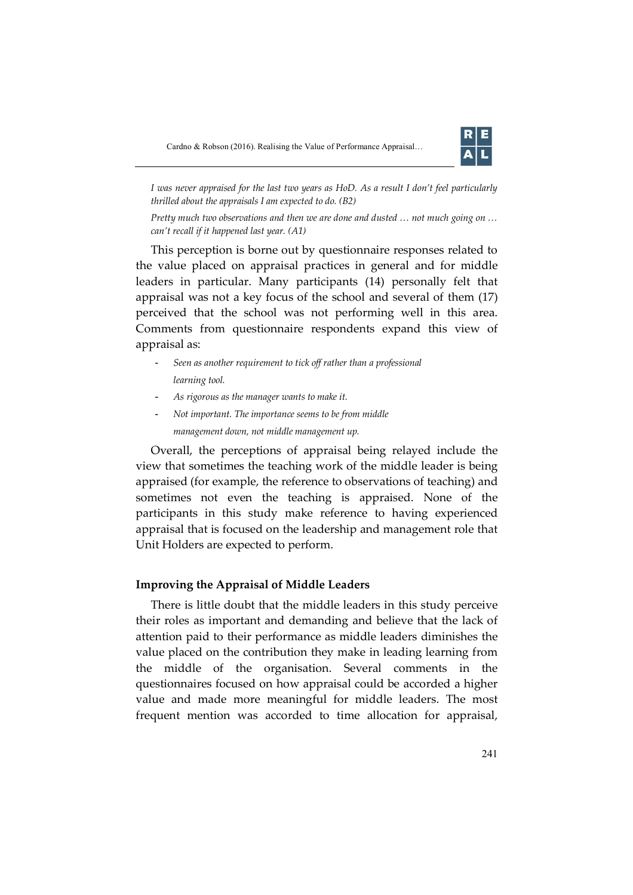

*I was never appraised for the last two years as HoD. As a result I don't feel particularly thrilled about the appraisals I am expected to do. (B2)*

*Pretty much two observations and then we are done and dusted … not much going on … can't recall if it happened last year. (A1)*

This perception is borne out by questionnaire responses related to the value placed on appraisal practices in general and for middle leaders in particular. Many participants (14) personally felt that appraisal was not a key focus of the school and several of them (17) perceived that the school was not performing well in this area. Comments from questionnaire respondents expand this view of appraisal as:

- *Seen as another requirement to tick off rather than a professional learning tool.*
- *As rigorous as the manager wants to make it.*
- *Not important. The importance seems to be from middle management down, not middle management up.*

Overall, the perceptions of appraisal being relayed include the view that sometimes the teaching work of the middle leader is being appraised (for example, the reference to observations of teaching) and sometimes not even the teaching is appraised. None of the participants in this study make reference to having experienced appraisal that is focused on the leadership and management role that Unit Holders are expected to perform.

#### **Improving the Appraisal of Middle Leaders**

There is little doubt that the middle leaders in this study perceive their roles as important and demanding and believe that the lack of attention paid to their performance as middle leaders diminishes the value placed on the contribution they make in leading learning from the middle of the organisation. Several comments in the questionnaires focused on how appraisal could be accorded a higher value and made more meaningful for middle leaders. The most frequent mention was accorded to time allocation for appraisal,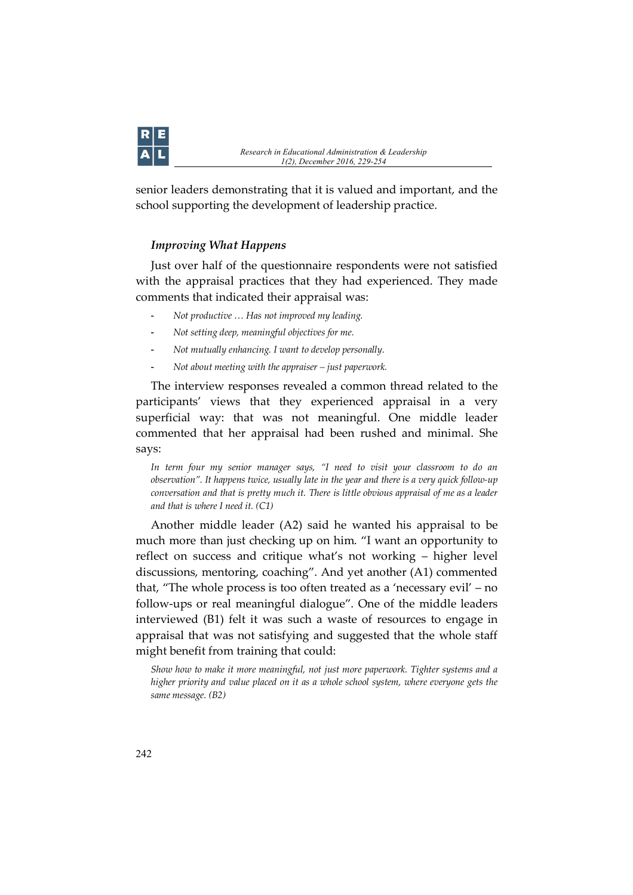

senior leaders demonstrating that it is valued and important, and the school supporting the development of leadership practice.

# *Improving What Happens*

Just over half of the questionnaire respondents were not satisfied with the appraisal practices that they had experienced. They made comments that indicated their appraisal was:

- *Not productive … Has not improved my leading.*
- *Not setting deep, meaningful objectives for me.*
- *Not mutually enhancing. I want to develop personally.*
- *Not about meeting with the appraiser – just paperwork.*

The interview responses revealed a common thread related to the participants' views that they experienced appraisal in a very superficial way: that was not meaningful. One middle leader commented that her appraisal had been rushed and minimal. She says:

*In term four my senior manager says, "I need to visit your classroom to do an observation". It happens twice, usually late in the year and there is a very quick follow-up conversation and that is pretty much it. There is little obvious appraisal of me as a leader and that is where I need it. (C1)*

Another middle leader (A2) said he wanted his appraisal to be much more than just checking up on him. "I want an opportunity to reflect on success and critique what's not working – higher level discussions, mentoring, coaching". And yet another (A1) commented that, "The whole process is too often treated as a 'necessary evil' – no follow-ups or real meaningful dialogue". One of the middle leaders interviewed (B1) felt it was such a waste of resources to engage in appraisal that was not satisfying and suggested that the whole staff might benefit from training that could:

*Show how to make it more meaningful, not just more paperwork. Tighter systems and a higher priority and value placed on it as a whole school system, where everyone gets the same message. (B2)*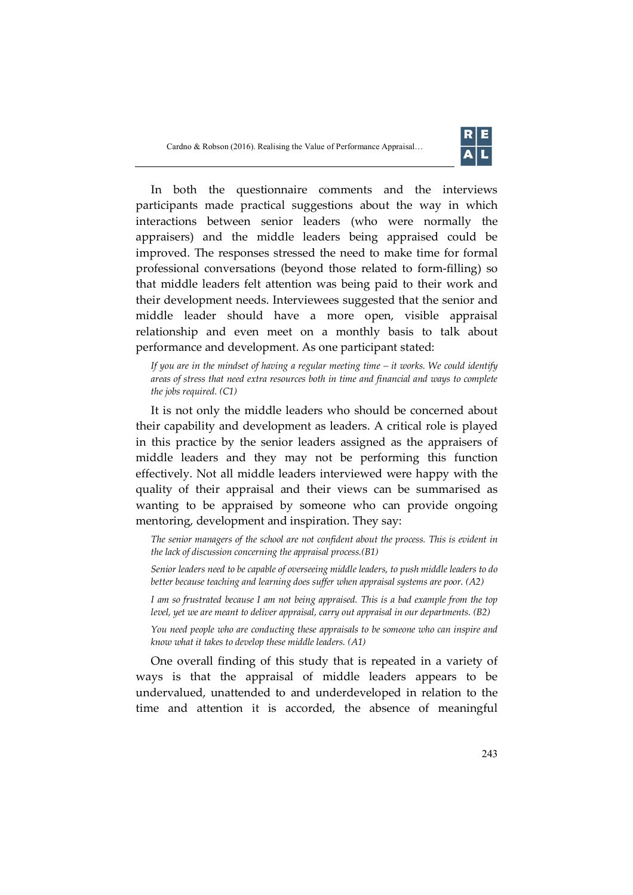

In both the questionnaire comments and the interviews participants made practical suggestions about the way in which interactions between senior leaders (who were normally the appraisers) and the middle leaders being appraised could be improved. The responses stressed the need to make time for formal professional conversations (beyond those related to form-filling) so that middle leaders felt attention was being paid to their work and their development needs. Interviewees suggested that the senior and middle leader should have a more open, visible appraisal relationship and even meet on a monthly basis to talk about performance and development. As one participant stated:

*If you are in the mindset of having a regular meeting time – it works. We could identify areas of stress that need extra resources both in time and financial and ways to complete the jobs required. (C1)*

It is not only the middle leaders who should be concerned about their capability and development as leaders. A critical role is played in this practice by the senior leaders assigned as the appraisers of middle leaders and they may not be performing this function effectively. Not all middle leaders interviewed were happy with the quality of their appraisal and their views can be summarised as wanting to be appraised by someone who can provide ongoing mentoring, development and inspiration. They say:

The senior managers of the school are not confident about the process. This is evident in *the lack of discussion concerning the appraisal process.(B1)*

*Senior leaders need to be capable of overseeing middle leaders, to push middle leaders to do better because teaching and learning does suffer when appraisal systems are poor. (A2)*

*I am so frustrated because I am not being appraised. This is a bad example from the top level, yet we are meant to deliver appraisal, carry out appraisal in our departments. (B2)*

*You need people who are conducting these appraisals to be someone who can inspire and know what it takes to develop these middle leaders. (A1)*

One overall finding of this study that is repeated in a variety of ways is that the appraisal of middle leaders appears to be undervalued, unattended to and underdeveloped in relation to the time and attention it is accorded, the absence of meaningful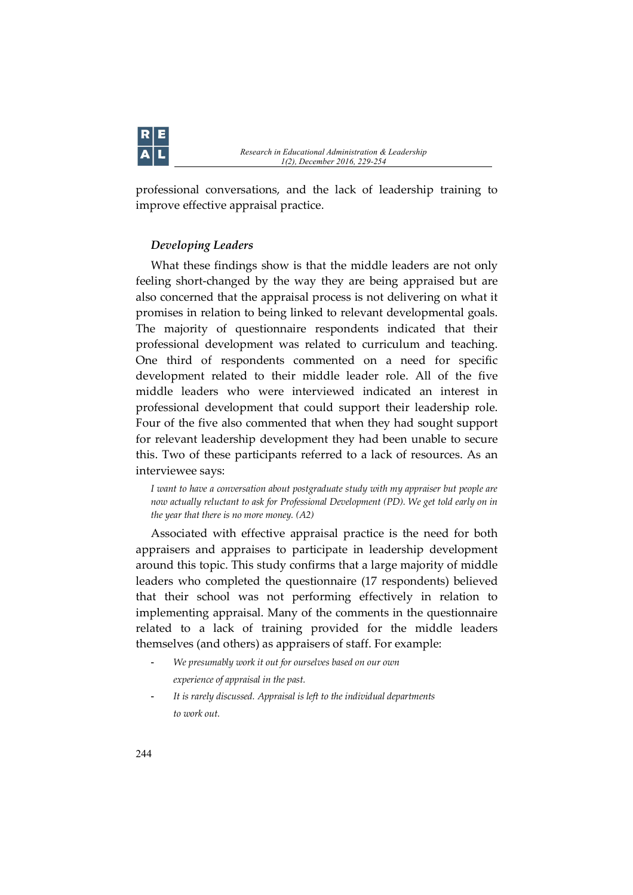

professional conversations, and the lack of leadership training to improve effective appraisal practice.

# *Developing Leaders*

What these findings show is that the middle leaders are not only feeling short-changed by the way they are being appraised but are also concerned that the appraisal process is not delivering on what it promises in relation to being linked to relevant developmental goals. The majority of questionnaire respondents indicated that their professional development was related to curriculum and teaching. One third of respondents commented on a need for specific development related to their middle leader role. All of the five middle leaders who were interviewed indicated an interest in professional development that could support their leadership role. Four of the five also commented that when they had sought support for relevant leadership development they had been unable to secure this. Two of these participants referred to a lack of resources. As an interviewee says:

*I want to have a conversation about postgraduate study with my appraiser but people are now actually reluctant to ask for Professional Development (PD). We get told early on in the year that there is no more money. (A2)*

Associated with effective appraisal practice is the need for both appraisers and appraises to participate in leadership development around this topic. This study confirms that a large majority of middle leaders who completed the questionnaire (17 respondents) believed that their school was not performing effectively in relation to implementing appraisal. Many of the comments in the questionnaire related to a lack of training provided for the middle leaders themselves (and others) as appraisers of staff. For example:

- *We presumably work it out for ourselves based on our own experience of appraisal in the past.*
- *It is rarely discussed. Appraisal is left to the individual departments to work out.*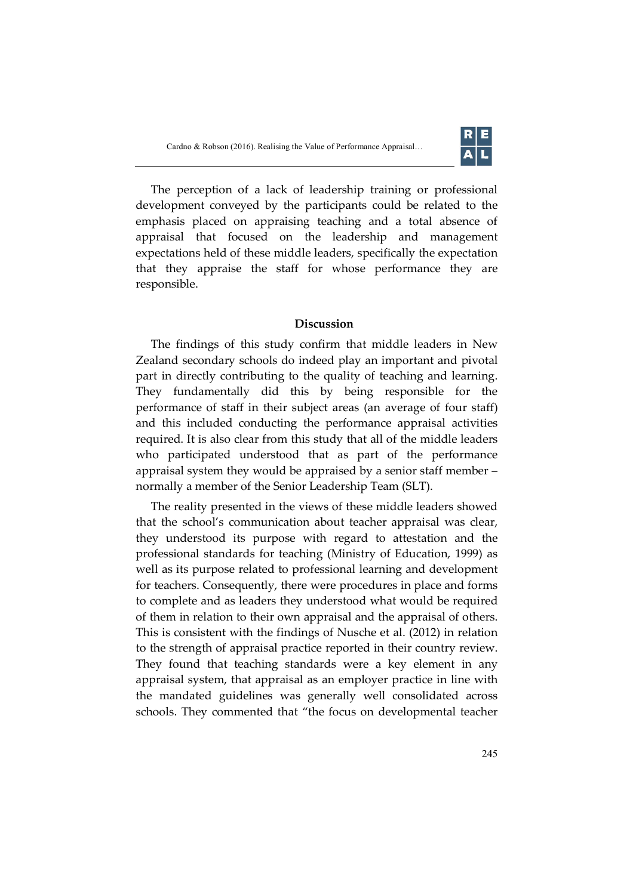

The perception of a lack of leadership training or professional development conveyed by the participants could be related to the emphasis placed on appraising teaching and a total absence of appraisal that focused on the leadership and management expectations held of these middle leaders, specifically the expectation that they appraise the staff for whose performance they are responsible.

# **Discussion**

The findings of this study confirm that middle leaders in New Zealand secondary schools do indeed play an important and pivotal part in directly contributing to the quality of teaching and learning. They fundamentally did this by being responsible for the performance of staff in their subject areas (an average of four staff) and this included conducting the performance appraisal activities required. It is also clear from this study that all of the middle leaders who participated understood that as part of the performance appraisal system they would be appraised by a senior staff member – normally a member of the Senior Leadership Team (SLT).

The reality presented in the views of these middle leaders showed that the school's communication about teacher appraisal was clear, they understood its purpose with regard to attestation and the professional standards for teaching (Ministry of Education, 1999) as well as its purpose related to professional learning and development for teachers. Consequently, there were procedures in place and forms to complete and as leaders they understood what would be required of them in relation to their own appraisal and the appraisal of others. This is consistent with the findings of Nusche et al. (2012) in relation to the strength of appraisal practice reported in their country review. They found that teaching standards were a key element in any appraisal system, that appraisal as an employer practice in line with the mandated guidelines was generally well consolidated across schools. They commented that "the focus on developmental teacher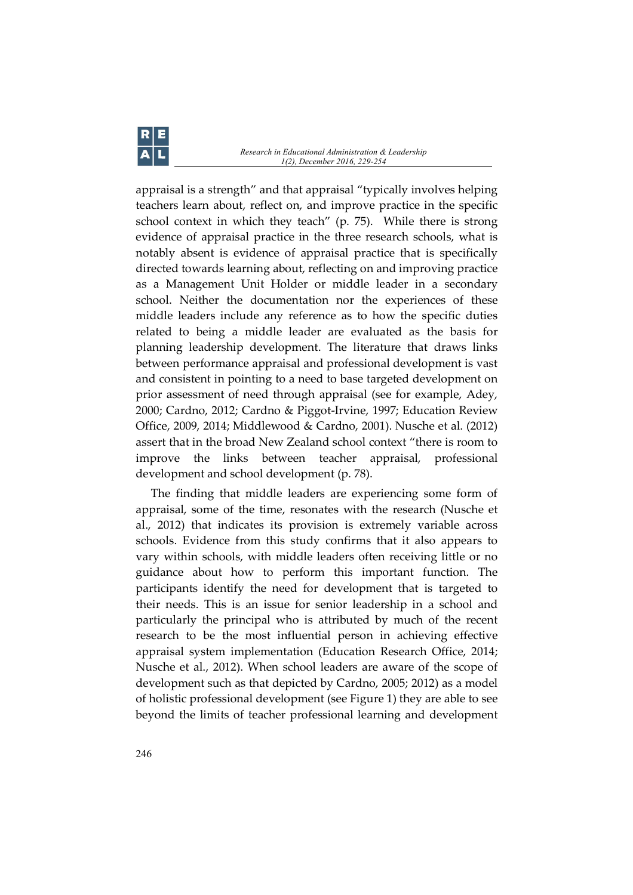appraisal is a strength" and that appraisal "typically involves helping teachers learn about, reflect on, and improve practice in the specific school context in which they teach" (p. 75). While there is strong evidence of appraisal practice in the three research schools, what is notably absent is evidence of appraisal practice that is specifically directed towards learning about, reflecting on and improving practice as a Management Unit Holder or middle leader in a secondary school. Neither the documentation nor the experiences of these middle leaders include any reference as to how the specific duties related to being a middle leader are evaluated as the basis for planning leadership development. The literature that draws links between performance appraisal and professional development is vast and consistent in pointing to a need to base targeted development on prior assessment of need through appraisal (see for example, Adey, 2000; Cardno, 2012; Cardno & Piggot-Irvine, 1997; Education Review Office, 2009, 2014; Middlewood & Cardno, 2001). Nusche et al. (2012) assert that in the broad New Zealand school context "there is room to improve the links between teacher appraisal, professional development and school development (p. 78).

The finding that middle leaders are experiencing some form of appraisal, some of the time, resonates with the research (Nusche et al., 2012) that indicates its provision is extremely variable across schools. Evidence from this study confirms that it also appears to vary within schools, with middle leaders often receiving little or no guidance about how to perform this important function. The participants identify the need for development that is targeted to their needs. This is an issue for senior leadership in a school and particularly the principal who is attributed by much of the recent research to be the most influential person in achieving effective appraisal system implementation (Education Research Office, 2014; Nusche et al., 2012). When school leaders are aware of the scope of development such as that depicted by Cardno, 2005; 2012) as a model of holistic professional development (see Figure 1) they are able to see beyond the limits of teacher professional learning and development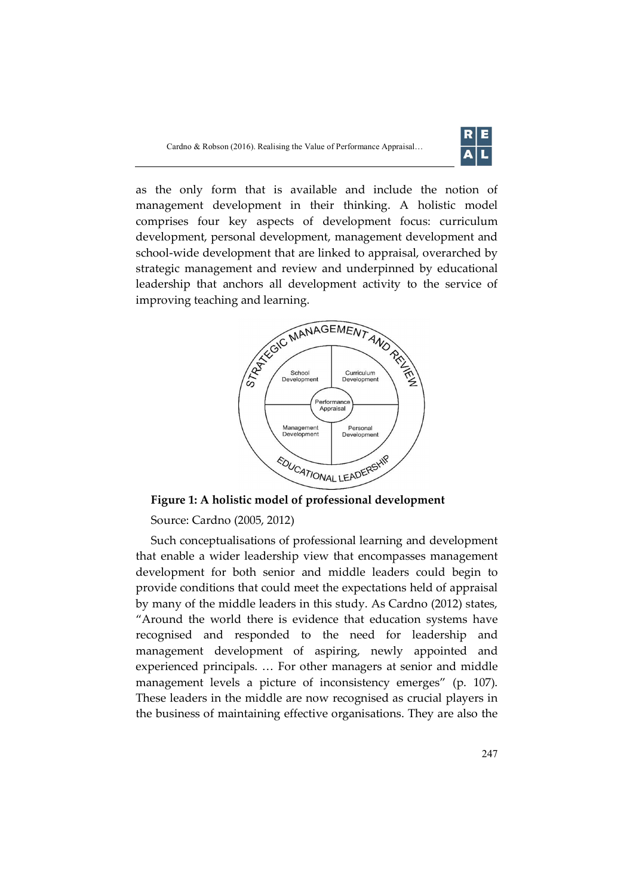

as the only form that is available and include the notion of management development in their thinking. A holistic model comprises four key aspects of development focus: curriculum development, personal development, management development and school-wide development that are linked to appraisal, overarched by strategic management and review and underpinned by educational leadership that anchors all development activity to the service of improving teaching and learning.



**Figure 1: A holistic model of professional development**

Source: Cardno (2005, 2012)

Such conceptualisations of professional learning and development that enable a wider leadership view that encompasses management development for both senior and middle leaders could begin to provide conditions that could meet the expectations held of appraisal by many of the middle leaders in this study. As Cardno (2012) states, "Around the world there is evidence that education systems have recognised and responded to the need for leadership and management development of aspiring, newly appointed and experienced principals. … For other managers at senior and middle management levels a picture of inconsistency emerges" (p. 107). These leaders in the middle are now recognised as crucial players in the business of maintaining effective organisations. They are also the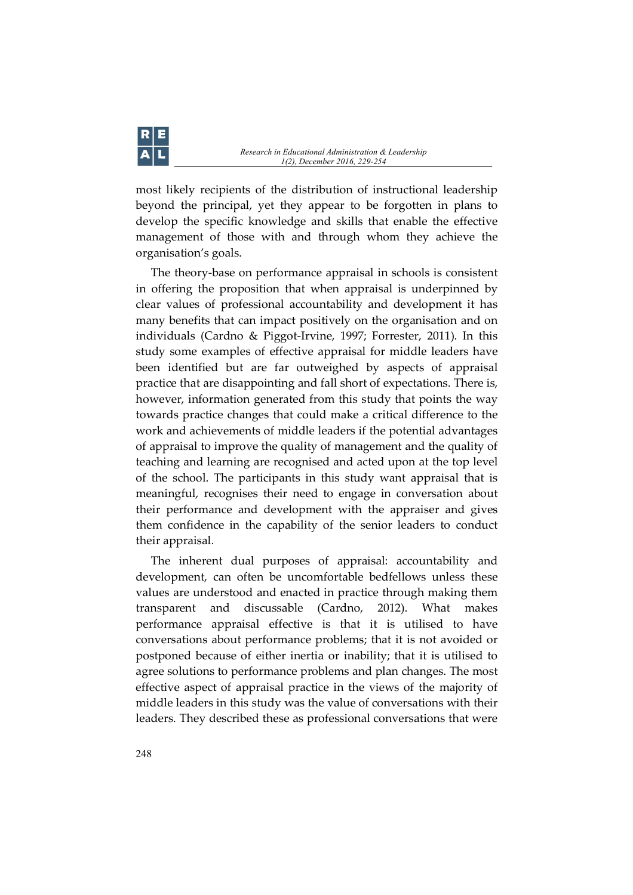most likely recipients of the distribution of instructional leadership beyond the principal, yet they appear to be forgotten in plans to develop the specific knowledge and skills that enable the effective management of those with and through whom they achieve the organisation's goals.

The theory-base on performance appraisal in schools is consistent in offering the proposition that when appraisal is underpinned by clear values of professional accountability and development it has many benefits that can impact positively on the organisation and on individuals (Cardno & Piggot-Irvine, 1997; Forrester, 2011). In this study some examples of effective appraisal for middle leaders have been identified but are far outweighed by aspects of appraisal practice that are disappointing and fall short of expectations. There is, however, information generated from this study that points the way towards practice changes that could make a critical difference to the work and achievements of middle leaders if the potential advantages of appraisal to improve the quality of management and the quality of teaching and learning are recognised and acted upon at the top level of the school. The participants in this study want appraisal that is meaningful, recognises their need to engage in conversation about their performance and development with the appraiser and gives them confidence in the capability of the senior leaders to conduct their appraisal.

The inherent dual purposes of appraisal: accountability and development, can often be uncomfortable bedfellows unless these values are understood and enacted in practice through making them transparent and discussable (Cardno, 2012). What makes performance appraisal effective is that it is utilised to have conversations about performance problems; that it is not avoided or postponed because of either inertia or inability; that it is utilised to agree solutions to performance problems and plan changes. The most effective aspect of appraisal practice in the views of the majority of middle leaders in this study was the value of conversations with their leaders. They described these as professional conversations that were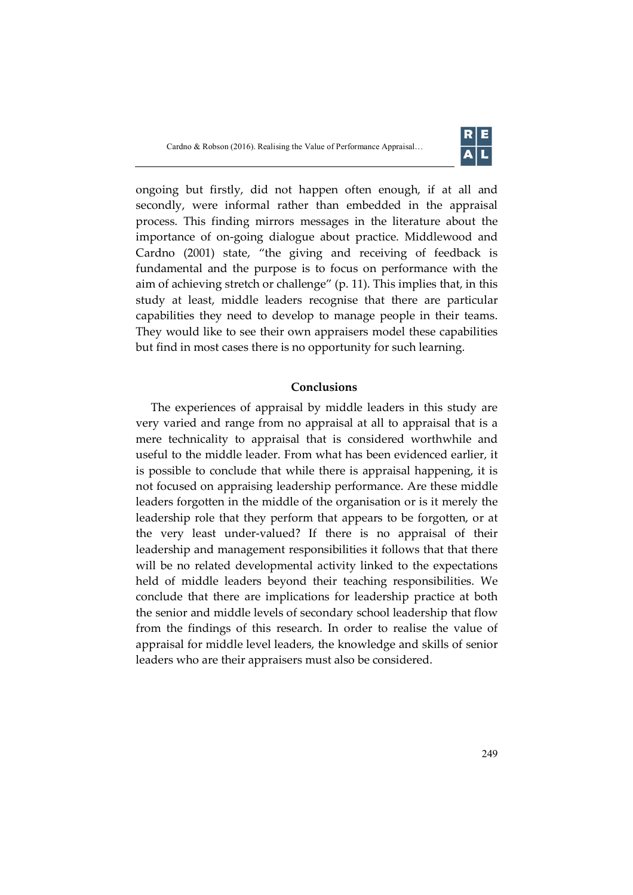

ongoing but firstly, did not happen often enough, if at all and secondly, were informal rather than embedded in the appraisal process. This finding mirrors messages in the literature about the importance of on-going dialogue about practice. Middlewood and Cardno (2001) state, "the giving and receiving of feedback is fundamental and the purpose is to focus on performance with the aim of achieving stretch or challenge" (p. 11). This implies that, in this study at least, middle leaders recognise that there are particular capabilities they need to develop to manage people in their teams. They would like to see their own appraisers model these capabilities but find in most cases there is no opportunity for such learning.

#### **Conclusions**

The experiences of appraisal by middle leaders in this study are very varied and range from no appraisal at all to appraisal that is a mere technicality to appraisal that is considered worthwhile and useful to the middle leader. From what has been evidenced earlier, it is possible to conclude that while there is appraisal happening, it is not focused on appraising leadership performance. Are these middle leaders forgotten in the middle of the organisation or is it merely the leadership role that they perform that appears to be forgotten, or at the very least under-valued? If there is no appraisal of their leadership and management responsibilities it follows that that there will be no related developmental activity linked to the expectations held of middle leaders beyond their teaching responsibilities. We conclude that there are implications for leadership practice at both the senior and middle levels of secondary school leadership that flow from the findings of this research. In order to realise the value of appraisal for middle level leaders, the knowledge and skills of senior leaders who are their appraisers must also be considered.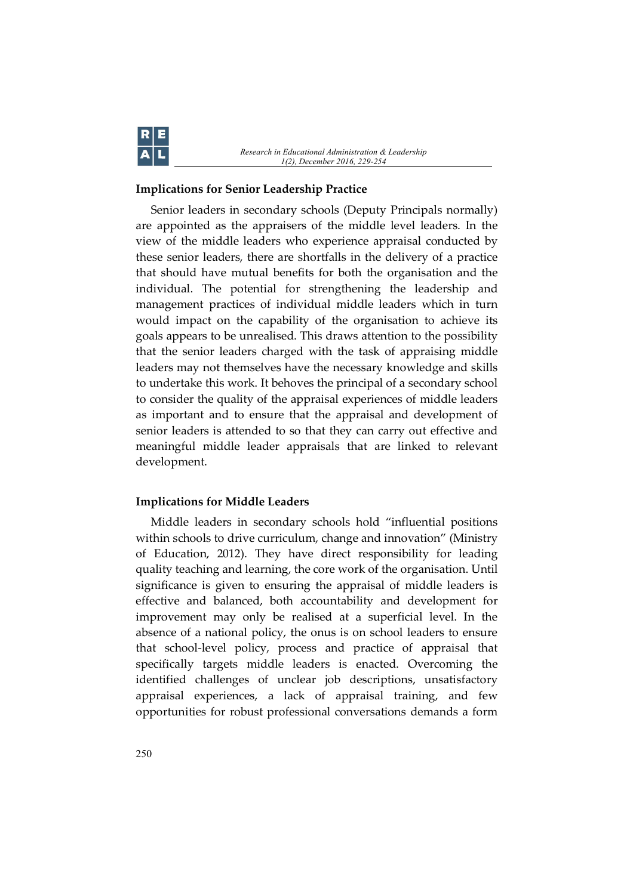

# **Implications for Senior Leadership Practice**

Senior leaders in secondary schools (Deputy Principals normally) are appointed as the appraisers of the middle level leaders. In the view of the middle leaders who experience appraisal conducted by these senior leaders, there are shortfalls in the delivery of a practice that should have mutual benefits for both the organisation and the individual. The potential for strengthening the leadership and management practices of individual middle leaders which in turn would impact on the capability of the organisation to achieve its goals appears to be unrealised. This draws attention to the possibility that the senior leaders charged with the task of appraising middle leaders may not themselves have the necessary knowledge and skills to undertake this work. It behoves the principal of a secondary school to consider the quality of the appraisal experiences of middle leaders as important and to ensure that the appraisal and development of senior leaders is attended to so that they can carry out effective and meaningful middle leader appraisals that are linked to relevant development.

#### **Implications for Middle Leaders**

Middle leaders in secondary schools hold "influential positions within schools to drive curriculum, change and innovation" (Ministry of Education, 2012). They have direct responsibility for leading quality teaching and learning, the core work of the organisation. Until significance is given to ensuring the appraisal of middle leaders is effective and balanced, both accountability and development for improvement may only be realised at a superficial level. In the absence of a national policy, the onus is on school leaders to ensure that school-level policy, process and practice of appraisal that specifically targets middle leaders is enacted. Overcoming the identified challenges of unclear job descriptions, unsatisfactory appraisal experiences, a lack of appraisal training, and few opportunities for robust professional conversations demands a form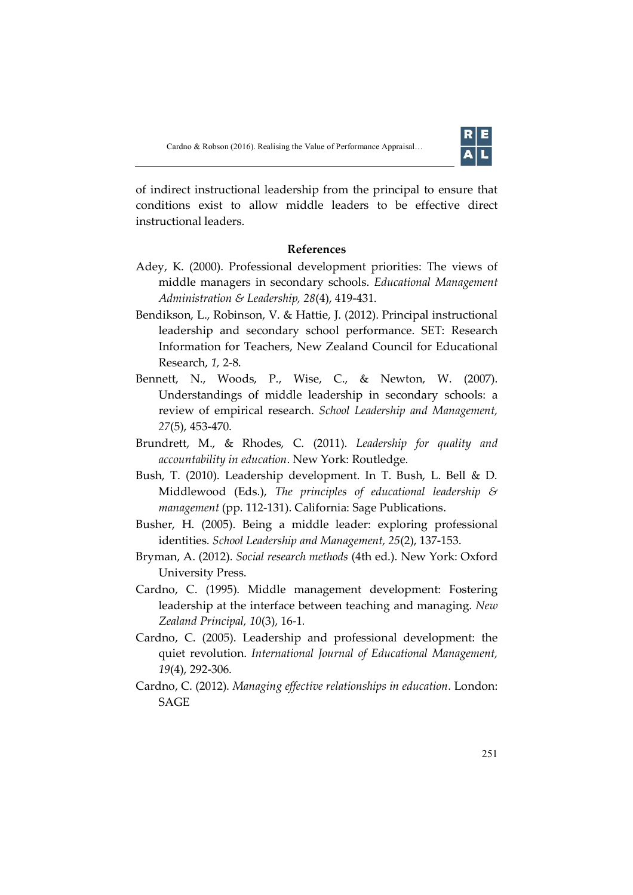

of indirect instructional leadership from the principal to ensure that conditions exist to allow middle leaders to be effective direct instructional leaders.

# **References**

- Adey, K. (2000). Professional development priorities: The views of middle managers in secondary schools. *Educational Management Administration & Leadership, 28*(4), 419-431.
- Bendikson, L., Robinson, V. & Hattie, J. (2012). Principal instructional leadership and secondary school performance. SET: Research Information for Teachers, New Zealand Council for Educational Research, *1,* 2-8.
- Bennett, N., Woods, P., Wise, C., & Newton, W. (2007). Understandings of middle leadership in secondary schools: a review of empirical research. *School Leadership and Management, 27*(5), 453-470.
- Brundrett, M., & Rhodes, C. (2011). *Leadership for quality and accountability in education*. New York: Routledge.
- Bush, T. (2010). Leadership development. In T. Bush, L. Bell & D. Middlewood (Eds.), *The principles of educational leadership & management* (pp. 112-131). California: Sage Publications.
- Busher, H. (2005). Being a middle leader: exploring professional identities. *School Leadership and Management, 25*(2), 137-153.
- Bryman, A. (2012). *Social research methods* (4th ed.). New York: Oxford University Press.
- Cardno, C. (1995). Middle management development: Fostering leadership at the interface between teaching and managing. *New Zealand Principal, 10*(3), 16-1*.*
- Cardno, C. (2005). Leadership and professional development: the quiet revolution. *International Journal of Educational Management, 19*(4), 292-306.
- Cardno, C. (2012). *Managing effective relationships in education*. London: SAGE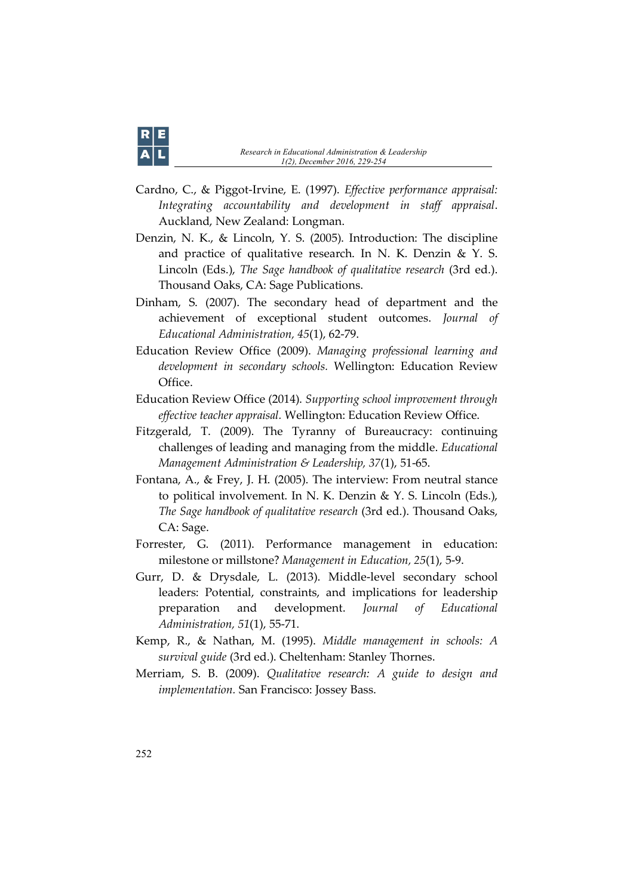- Cardno, C., & Piggot-Irvine, E. (1997). *Effective performance appraisal: Integrating accountability and development in staff appraisal*. Auckland, New Zealand: Longman.
- Denzin, N. K., & Lincoln, Y. S. (2005). Introduction: The discipline and practice of qualitative research. In N. K. Denzin & Y. S. Lincoln (Eds.), *The Sage handbook of qualitative research* (3rd ed.). Thousand Oaks, CA: Sage Publications.
- Dinham, S. (2007). The secondary head of department and the achievement of exceptional student outcomes. *Journal of Educational Administration, 45*(1), 62-79.
- Education Review Office (2009). *Managing professional learning and development in secondary schools.* Wellington: Education Review Office.
- Education Review Office (2014). *Supporting school improvement through effective teacher appraisal.* Wellington: Education Review Office.
- Fitzgerald, T. (2009). The Tyranny of Bureaucracy: continuing challenges of leading and managing from the middle. *Educational Management Administration & Leadership, 37*(1), 51-65.
- Fontana, A., & Frey, J. H. (2005). The interview: From neutral stance to political involvement. In N. K. Denzin & Y. S. Lincoln (Eds.), *The Sage handbook of qualitative research* (3rd ed.). Thousand Oaks, CA: Sage.
- Forrester, G. (2011). Performance management in education: milestone or millstone? *Management in Education, 25*(1), 5-9.
- Gurr, D. & Drysdale, L. (2013). Middle-level secondary school leaders: Potential, constraints, and implications for leadership preparation and development. *Journal of Educational Administration, 51*(1), 55-71.
- Kemp, R., & Nathan, M. (1995). *Middle management in schools: A survival guide* (3rd ed.). Cheltenham: Stanley Thornes.
- Merriam, S. B. (2009). *Qualitative research: A guide to design and implementation.* San Francisco: Jossey Bass.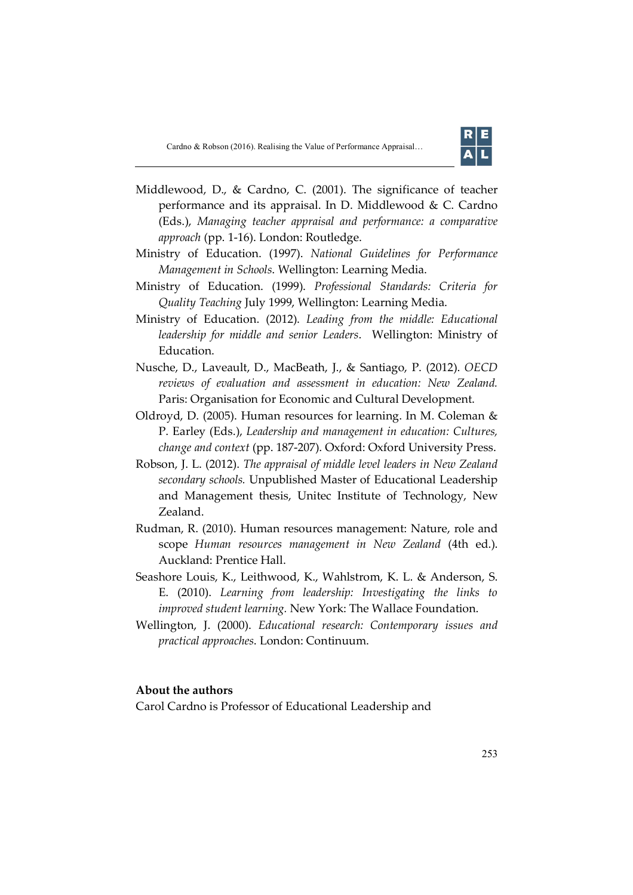

- Middlewood, D., & Cardno, C. (2001). The significance of teacher performance and its appraisal. In D. Middlewood & C. Cardno (Eds.), *Managing teacher appraisal and performance: a comparative approach* (pp. 1-16). London: Routledge.
- Ministry of Education. (1997). *National Guidelines for Performance Management in Schools*. Wellington: Learning Media.
- Ministry of Education. (1999). *Professional Standards: Criteria for Quality Teaching* July 1999, Wellington: Learning Media.
- Ministry of Education. (2012). *Leading from the middle: Educational leadership for middle and senior Leaders*. Wellington: Ministry of Education.
- Nusche, D., Laveault, D., MacBeath, J., & Santiago, P. (2012). *OECD reviews of evaluation and assessment in education: New Zealand.* Paris: Organisation for Economic and Cultural Development.
- Oldroyd, D. (2005). Human resources for learning. In M. Coleman & P. Earley (Eds.), *Leadership and management in education: Cultures, change and context* (pp. 187-207). Oxford: Oxford University Press.
- Robson, J. L. (2012). *The appraisal of middle level leaders in New Zealand secondary schools.* Unpublished Master of Educational Leadership and Management thesis, Unitec Institute of Technology, New Zealand.
- Rudman, R. (2010). Human resources management: Nature, role and scope *Human resources management in New Zealand* (4th ed.). Auckland: Prentice Hall.
- Seashore Louis, K., Leithwood, K., Wahlstrom, K. L. & Anderson, S. E. (2010). *Learning from leadership: Investigating the links to improved student learning.* New York: The Wallace Foundation.
- Wellington, J. (2000). *Educational research: Contemporary issues and practical approaches*. London: Continuum.

### **About the authors**

Carol Cardno is Professor of Educational Leadership and